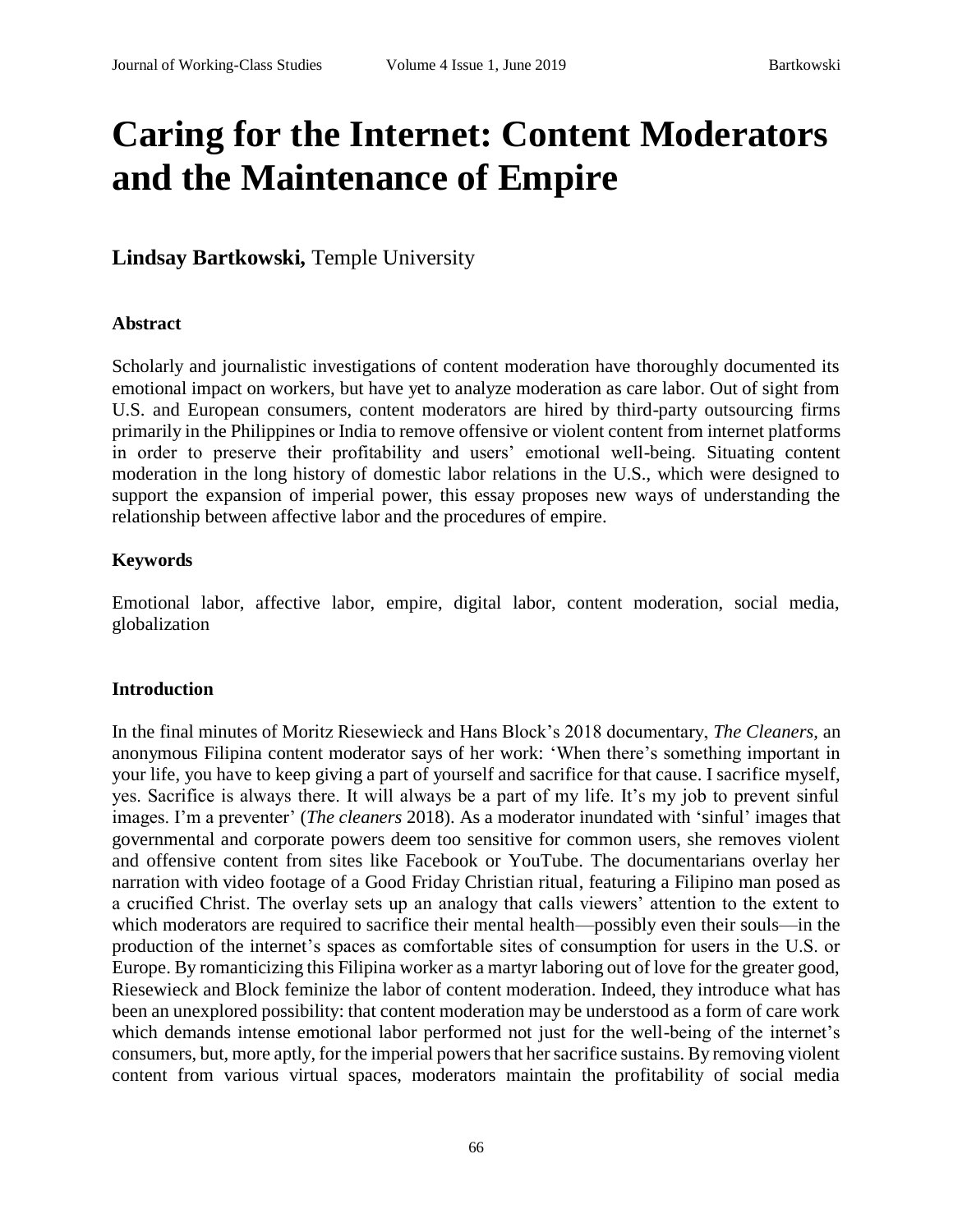# **Caring for the Internet: Content Moderators and the Maintenance of Empire**

**Lindsay Bartkowski,** Temple University

#### **Abstract**

Scholarly and journalistic investigations of content moderation have thoroughly documented its emotional impact on workers, but have yet to analyze moderation as care labor. Out of sight from U.S. and European consumers, content moderators are hired by third-party outsourcing firms primarily in the Philippines or India to remove offensive or violent content from internet platforms in order to preserve their profitability and users' emotional well-being. Situating content moderation in the long history of domestic labor relations in the U.S., which were designed to support the expansion of imperial power, this essay proposes new ways of understanding the relationship between affective labor and the procedures of empire.

#### **Keywords**

Emotional labor, affective labor, empire, digital labor, content moderation, social media, globalization

#### **Introduction**

In the final minutes of Moritz Riesewieck and Hans Block's 2018 documentary, *The Cleaners,* an anonymous Filipina content moderator says of her work: 'When there's something important in your life, you have to keep giving a part of yourself and sacrifice for that cause. I sacrifice myself, yes. Sacrifice is always there. It will always be a part of my life. It's my job to prevent sinful images. I'm a preventer' (*The cleaners* 2018). As a moderator inundated with 'sinful' images that governmental and corporate powers deem too sensitive for common users, she removes violent and offensive content from sites like Facebook or YouTube. The documentarians overlay her narration with video footage of a Good Friday Christian ritual, featuring a Filipino man posed as a crucified Christ. The overlay sets up an analogy that calls viewers' attention to the extent to which moderators are required to sacrifice their mental health—possibly even their souls—in the production of the internet's spaces as comfortable sites of consumption for users in the U.S. or Europe. By romanticizing this Filipina worker as a martyr laboring out of love for the greater good, Riesewieck and Block feminize the labor of content moderation. Indeed, they introduce what has been an unexplored possibility: that content moderation may be understood as a form of care work which demands intense emotional labor performed not just for the well-being of the internet's consumers, but, more aptly, for the imperial powers that her sacrifice sustains. By removing violent content from various virtual spaces, moderators maintain the profitability of social media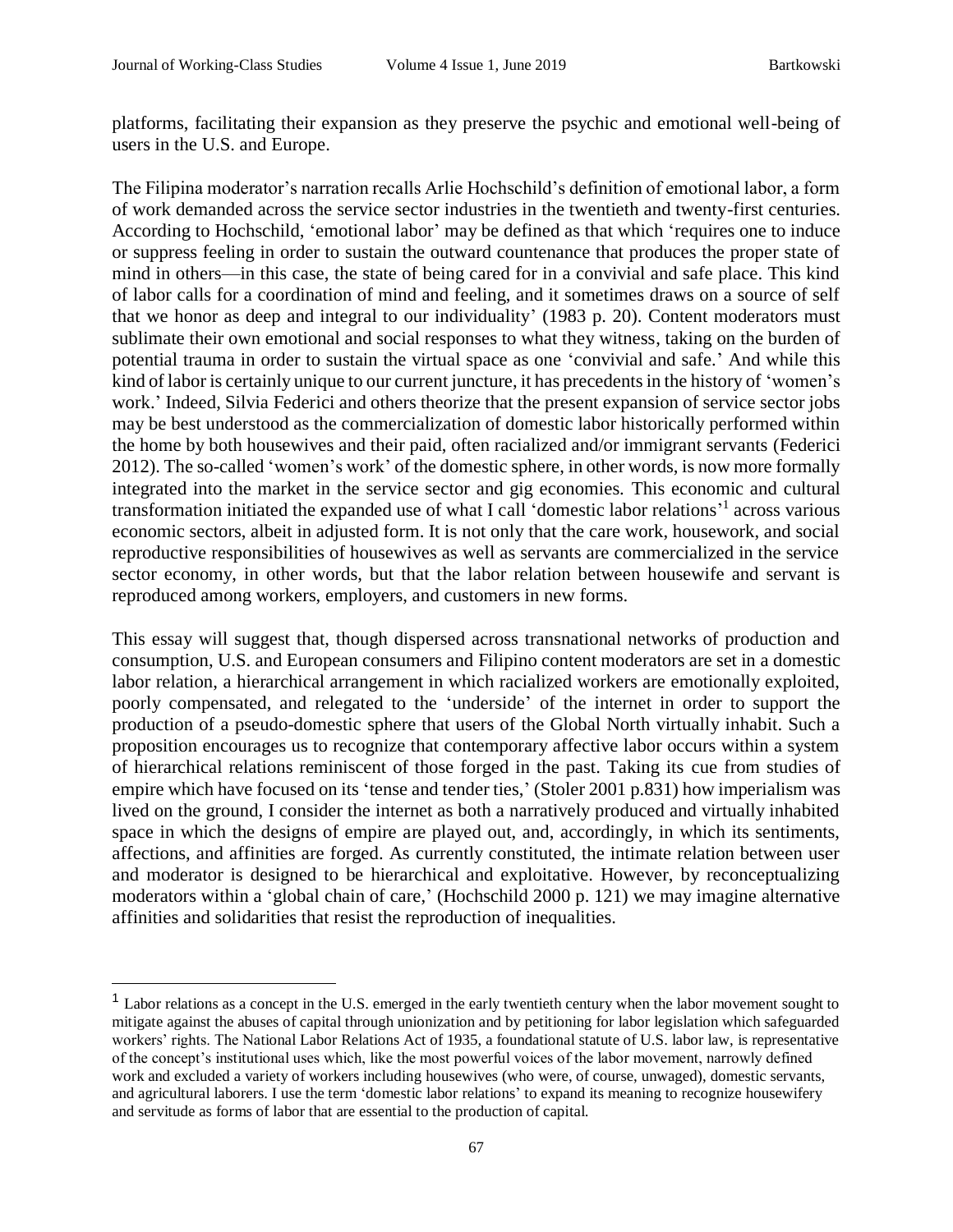platforms, facilitating their expansion as they preserve the psychic and emotional well-being of users in the U.S. and Europe.

The Filipina moderator's narration recalls Arlie Hochschild's definition of emotional labor, a form of work demanded across the service sector industries in the twentieth and twenty-first centuries. According to Hochschild, 'emotional labor' may be defined as that which 'requires one to induce or suppress feeling in order to sustain the outward countenance that produces the proper state of mind in others—in this case, the state of being cared for in a convivial and safe place. This kind of labor calls for a coordination of mind and feeling, and it sometimes draws on a source of self that we honor as deep and integral to our individuality' (1983 p. 20). Content moderators must sublimate their own emotional and social responses to what they witness, taking on the burden of potential trauma in order to sustain the virtual space as one 'convivial and safe.' And while this kind of labor is certainly unique to our current juncture, it has precedents in the history of 'women's work.' Indeed, Silvia Federici and others theorize that the present expansion of service sector jobs may be best understood as the commercialization of domestic labor historically performed within the home by both housewives and their paid, often racialized and/or immigrant servants (Federici 2012). The so-called 'women's work' of the domestic sphere, in other words, is now more formally integrated into the market in the service sector and gig economies. This economic and cultural transformation initiated the expanded use of what I call 'domestic labor relations' 1 across various economic sectors, albeit in adjusted form. It is not only that the care work, housework, and social reproductive responsibilities of housewives as well as servants are commercialized in the service sector economy, in other words, but that the labor relation between housewife and servant is reproduced among workers, employers, and customers in new forms.

This essay will suggest that, though dispersed across transnational networks of production and consumption, U.S. and European consumers and Filipino content moderators are set in a domestic labor relation, a hierarchical arrangement in which racialized workers are emotionally exploited, poorly compensated, and relegated to the 'underside' of the internet in order to support the production of a pseudo-domestic sphere that users of the Global North virtually inhabit. Such a proposition encourages us to recognize that contemporary affective labor occurs within a system of hierarchical relations reminiscent of those forged in the past. Taking its cue from studies of empire which have focused on its 'tense and tender ties,' (Stoler 2001 p.831) how imperialism was lived on the ground, I consider the internet as both a narratively produced and virtually inhabited space in which the designs of empire are played out, and, accordingly, in which its sentiments, affections, and affinities are forged. As currently constituted, the intimate relation between user and moderator is designed to be hierarchical and exploitative. However, by reconceptualizing moderators within a 'global chain of care,' (Hochschild 2000 p. 121) we may imagine alternative affinities and solidarities that resist the reproduction of inequalities.

<sup>&</sup>lt;sup>1</sup> Labor relations as a concept in the U.S. emerged in the early twentieth century when the labor movement sought to mitigate against the abuses of capital through unionization and by petitioning for labor legislation which safeguarded workers' rights. The National Labor Relations Act of 1935, a foundational statute of U.S. labor law, is representative of the concept's institutional uses which, like the most powerful voices of the labor movement, narrowly defined work and excluded a variety of workers including housewives (who were, of course, unwaged), domestic servants, and agricultural laborers. I use the term 'domestic labor relations' to expand its meaning to recognize housewifery and servitude as forms of labor that are essential to the production of capital.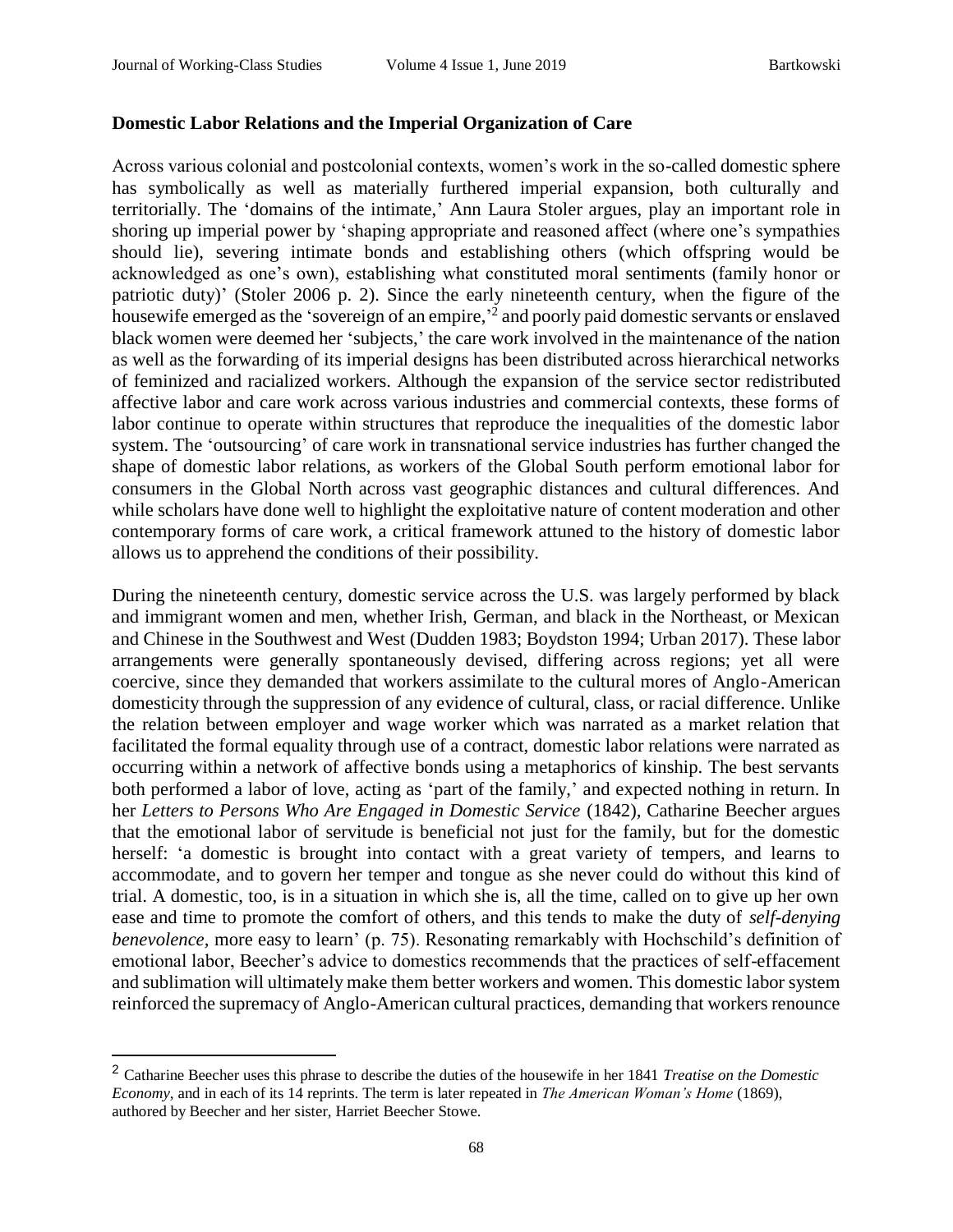#### **Domestic Labor Relations and the Imperial Organization of Care**

Across various colonial and postcolonial contexts, women's work in the so-called domestic sphere has symbolically as well as materially furthered imperial expansion, both culturally and territorially. The 'domains of the intimate,' Ann Laura Stoler argues, play an important role in shoring up imperial power by 'shaping appropriate and reasoned affect (where one's sympathies should lie), severing intimate bonds and establishing others (which offspring would be acknowledged as one's own), establishing what constituted moral sentiments (family honor or patriotic duty)' (Stoler 2006 p. 2). Since the early nineteenth century, when the figure of the housewife emerged as the 'sovereign of an empire,<sup>2</sup> and poorly paid domestic servants or enslaved black women were deemed her 'subjects,' the care work involved in the maintenance of the nation as well as the forwarding of its imperial designs has been distributed across hierarchical networks of feminized and racialized workers. Although the expansion of the service sector redistributed affective labor and care work across various industries and commercial contexts, these forms of labor continue to operate within structures that reproduce the inequalities of the domestic labor system. The 'outsourcing' of care work in transnational service industries has further changed the shape of domestic labor relations, as workers of the Global South perform emotional labor for consumers in the Global North across vast geographic distances and cultural differences. And while scholars have done well to highlight the exploitative nature of content moderation and other contemporary forms of care work, a critical framework attuned to the history of domestic labor allows us to apprehend the conditions of their possibility.

During the nineteenth century, domestic service across the U.S. was largely performed by black and immigrant women and men, whether Irish, German, and black in the Northeast, or Mexican and Chinese in the Southwest and West (Dudden 1983; Boydston 1994; Urban 2017). These labor arrangements were generally spontaneously devised, differing across regions; yet all were coercive, since they demanded that workers assimilate to the cultural mores of Anglo-American domesticity through the suppression of any evidence of cultural, class, or racial difference. Unlike the relation between employer and wage worker which was narrated as a market relation that facilitated the formal equality through use of a contract, domestic labor relations were narrated as occurring within a network of affective bonds using a metaphorics of kinship. The best servants both performed a labor of love, acting as 'part of the family,' and expected nothing in return. In her *Letters to Persons Who Are Engaged in Domestic Service* (1842)*,* Catharine Beecher argues that the emotional labor of servitude is beneficial not just for the family, but for the domestic herself: 'a domestic is brought into contact with a great variety of tempers, and learns to accommodate, and to govern her temper and tongue as she never could do without this kind of trial. A domestic, too, is in a situation in which she is, all the time, called on to give up her own ease and time to promote the comfort of others, and this tends to make the duty of *self-denying benevolence*, more easy to learn' (p. 75). Resonating remarkably with Hochschild's definition of emotional labor, Beecher's advice to domestics recommends that the practices of self-effacement and sublimation will ultimately make them better workers and women. This domestic labor system reinforced the supremacy of Anglo-American cultural practices, demanding that workers renounce

<sup>2</sup> Catharine Beecher uses this phrase to describe the duties of the housewife in her 1841 *Treatise on the Domestic Economy*, and in each of its 14 reprints. The term is later repeated in *The American Woman's Home* (1869), authored by Beecher and her sister, Harriet Beecher Stowe.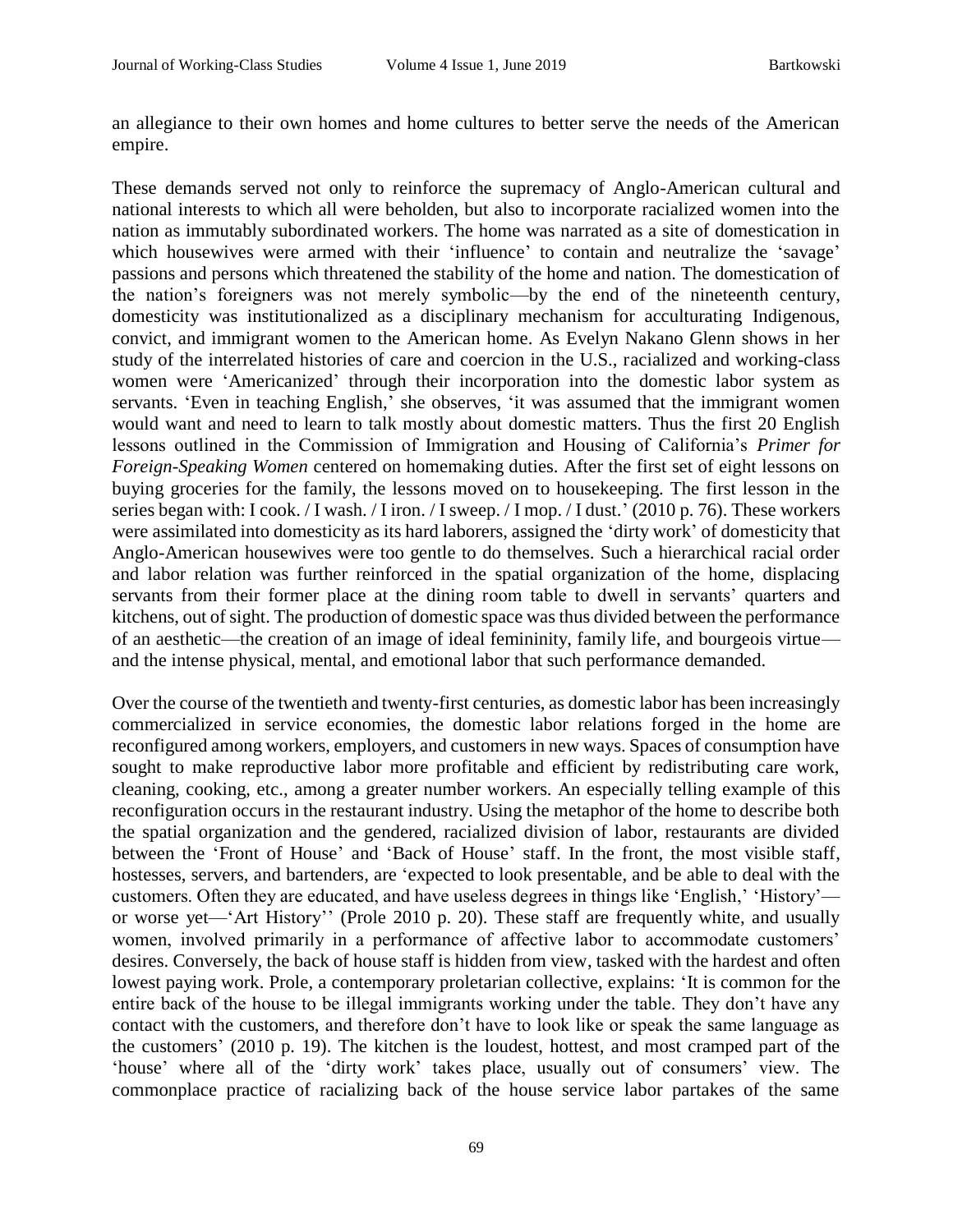an allegiance to their own homes and home cultures to better serve the needs of the American empire.

These demands served not only to reinforce the supremacy of Anglo-American cultural and national interests to which all were beholden, but also to incorporate racialized women into the nation as immutably subordinated workers. The home was narrated as a site of domestication in which housewives were armed with their 'influence' to contain and neutralize the 'savage' passions and persons which threatened the stability of the home and nation. The domestication of the nation's foreigners was not merely symbolic—by the end of the nineteenth century, domesticity was institutionalized as a disciplinary mechanism for acculturating Indigenous, convict, and immigrant women to the American home. As Evelyn Nakano Glenn shows in her study of the interrelated histories of care and coercion in the U.S., racialized and working-class women were 'Americanized' through their incorporation into the domestic labor system as servants. 'Even in teaching English,' she observes, 'it was assumed that the immigrant women would want and need to learn to talk mostly about domestic matters. Thus the first 20 English lessons outlined in the Commission of Immigration and Housing of California's *Primer for Foreign-Speaking Women* centered on homemaking duties. After the first set of eight lessons on buying groceries for the family, the lessons moved on to housekeeping. The first lesson in the series began with: I cook. / I wash. / I iron. / I sweep. / I mop. / I dust.' (2010 p. 76). These workers were assimilated into domesticity as its hard laborers, assigned the 'dirty work' of domesticity that Anglo-American housewives were too gentle to do themselves. Such a hierarchical racial order and labor relation was further reinforced in the spatial organization of the home, displacing servants from their former place at the dining room table to dwell in servants' quarters and kitchens, out of sight. The production of domestic space was thus divided between the performance of an aesthetic—the creation of an image of ideal femininity, family life, and bourgeois virtue and the intense physical, mental, and emotional labor that such performance demanded.

Over the course of the twentieth and twenty-first centuries, as domestic labor has been increasingly commercialized in service economies, the domestic labor relations forged in the home are reconfigured among workers, employers, and customers in new ways. Spaces of consumption have sought to make reproductive labor more profitable and efficient by redistributing care work, cleaning, cooking, etc., among a greater number workers. An especially telling example of this reconfiguration occurs in the restaurant industry. Using the metaphor of the home to describe both the spatial organization and the gendered, racialized division of labor, restaurants are divided between the 'Front of House' and 'Back of House' staff. In the front, the most visible staff, hostesses, servers, and bartenders, are 'expected to look presentable, and be able to deal with the customers. Often they are educated, and have useless degrees in things like 'English,' 'History' or worse yet—'Art History'' (Prole 2010 p. 20). These staff are frequently white, and usually women, involved primarily in a performance of affective labor to accommodate customers' desires. Conversely, the back of house staff is hidden from view, tasked with the hardest and often lowest paying work. Prole, a contemporary proletarian collective, explains: 'It is common for the entire back of the house to be illegal immigrants working under the table. They don't have any contact with the customers, and therefore don't have to look like or speak the same language as the customers' (2010 p. 19). The kitchen is the loudest, hottest, and most cramped part of the 'house' where all of the 'dirty work' takes place, usually out of consumers' view. The commonplace practice of racializing back of the house service labor partakes of the same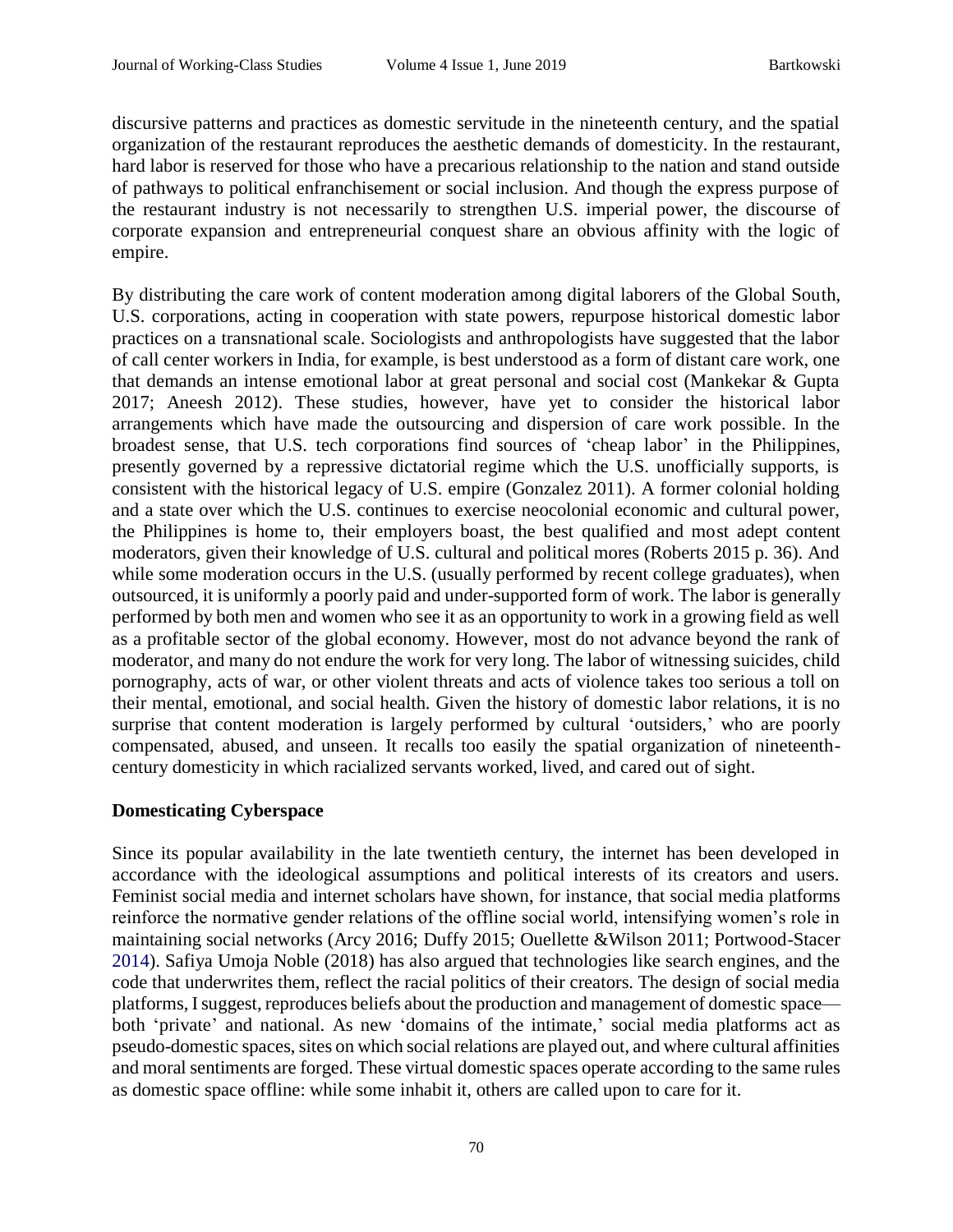discursive patterns and practices as domestic servitude in the nineteenth century, and the spatial organization of the restaurant reproduces the aesthetic demands of domesticity. In the restaurant, hard labor is reserved for those who have a precarious relationship to the nation and stand outside of pathways to political enfranchisement or social inclusion. And though the express purpose of the restaurant industry is not necessarily to strengthen U.S. imperial power, the discourse of corporate expansion and entrepreneurial conquest share an obvious affinity with the logic of empire.

By distributing the care work of content moderation among digital laborers of the Global South, U.S. corporations, acting in cooperation with state powers, repurpose historical domestic labor practices on a transnational scale. Sociologists and anthropologists have suggested that the labor of call center workers in India, for example, is best understood as a form of distant care work, one that demands an intense emotional labor at great personal and social cost (Mankekar & Gupta 2017; Aneesh 2012). These studies, however, have yet to consider the historical labor arrangements which have made the outsourcing and dispersion of care work possible. In the broadest sense, that U.S. tech corporations find sources of 'cheap labor' in the Philippines, presently governed by a repressive dictatorial regime which the U.S. unofficially supports, is consistent with the historical legacy of U.S. empire (Gonzalez 2011). A former colonial holding and a state over which the U.S. continues to exercise neocolonial economic and cultural power, the Philippines is home to, their employers boast, the best qualified and most adept content moderators, given their knowledge of U.S. cultural and political mores (Roberts 2015 p. 36). And while some moderation occurs in the U.S. (usually performed by recent college graduates), when outsourced, it is uniformly a poorly paid and under-supported form of work. The labor is generally performed by both men and women who see it as an opportunity to work in a growing field as well as a profitable sector of the global economy. However, most do not advance beyond the rank of moderator, and many do not endure the work for very long. The labor of witnessing suicides, child pornography, acts of war, or other violent threats and acts of violence takes too serious a toll on their mental, emotional, and social health. Given the history of domestic labor relations, it is no surprise that content moderation is largely performed by cultural 'outsiders,' who are poorly compensated, abused, and unseen. It recalls too easily the spatial organization of nineteenthcentury domesticity in which racialized servants worked, lived, and cared out of sight.

### **Domesticating Cyberspace**

Since its popular availability in the late twentieth century, the internet has been developed in accordance with the ideological assumptions and political interests of its creators and users. Feminist social media and internet scholars have shown, for instance, that social media platforms reinforce the normative gender relations of the offline social world, intensifying women's role in maintaining social networks (Arcy 2016; Duffy 2015; Ouellette &Wilson 2011; Portwood-Stacer 2014). Safiya Umoja Noble (2018) has also argued that technologies like search engines, and the code that underwrites them, reflect the racial politics of their creators. The design of social media platforms, I suggest, reproduces beliefs about the production and management of domestic space both 'private' and national. As new 'domains of the intimate,' social media platforms act as pseudo-domestic spaces, sites on which social relations are played out, and where cultural affinities and moral sentiments are forged. These virtual domestic spaces operate according to the same rules as domestic space offline: while some inhabit it, others are called upon to care for it.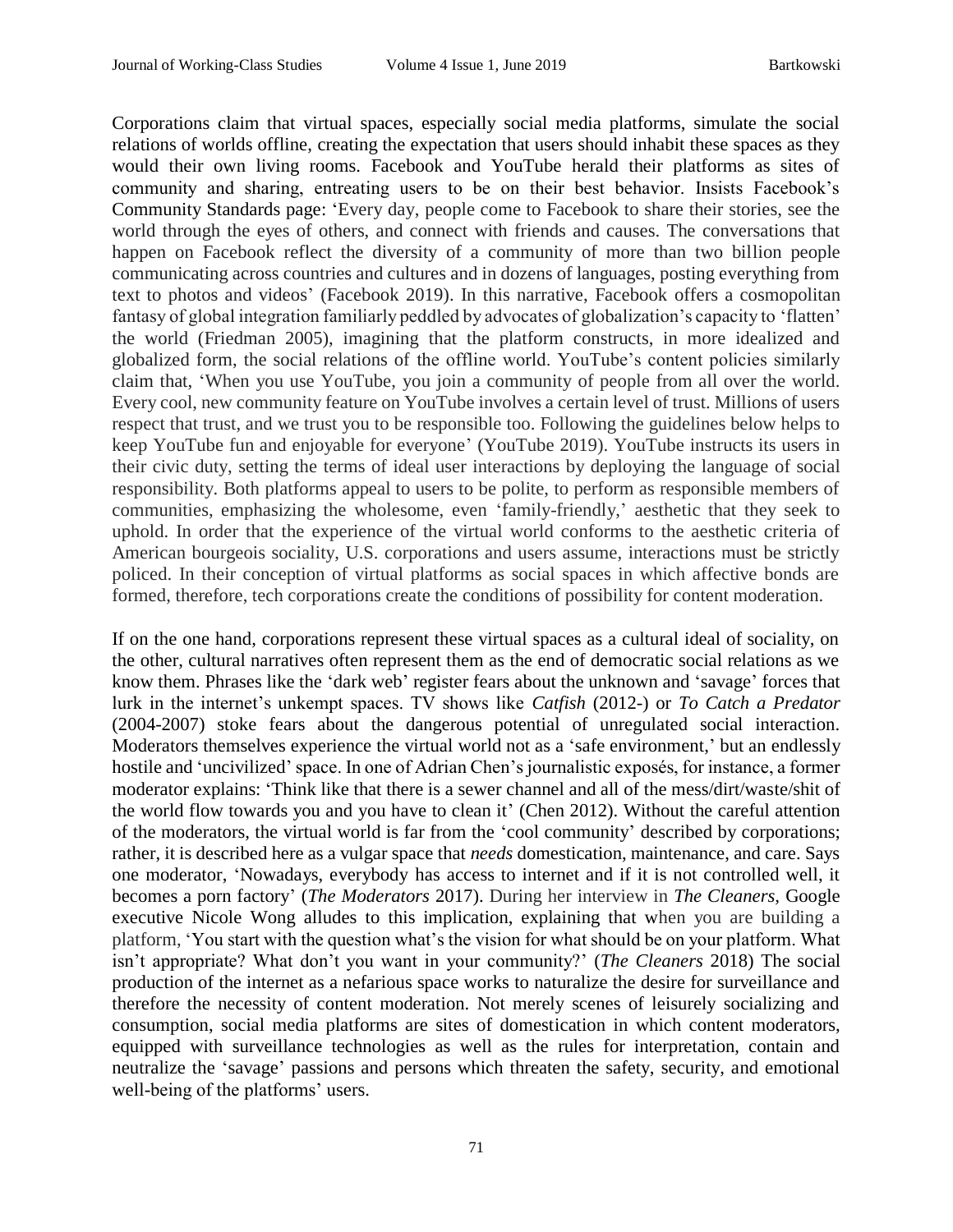Corporations claim that virtual spaces, especially social media platforms, simulate the social relations of worlds offline, creating the expectation that users should inhabit these spaces as they would their own living rooms. Facebook and YouTube herald their platforms as sites of community and sharing, entreating users to be on their best behavior. Insists Facebook's Community Standards page: 'Every day, people come to Facebook to share their stories, see the world through the eyes of others, and connect with friends and causes. The conversations that happen on Facebook reflect the diversity of a community of more than two billion people communicating across countries and cultures and in dozens of languages, posting everything from text to photos and videos' (Facebook 2019). In this narrative, Facebook offers a cosmopolitan fantasy of global integration familiarly peddled by advocates of globalization's capacity to 'flatten' the world (Friedman 2005), imagining that the platform constructs, in more idealized and globalized form, the social relations of the offline world. YouTube's content policies similarly claim that, 'When you use YouTube, you join a community of people from all over the world. Every cool, new community feature on YouTube involves a certain level of trust. Millions of users respect that trust, and we trust you to be responsible too. Following the guidelines below helps to keep YouTube fun and enjoyable for everyone' (YouTube 2019). YouTube instructs its users in their civic duty, setting the terms of ideal user interactions by deploying the language of social responsibility. Both platforms appeal to users to be polite, to perform as responsible members of communities, emphasizing the wholesome, even 'family-friendly,' aesthetic that they seek to uphold. In order that the experience of the virtual world conforms to the aesthetic criteria of American bourgeois sociality, U.S. corporations and users assume, interactions must be strictly policed. In their conception of virtual platforms as social spaces in which affective bonds are formed, therefore, tech corporations create the conditions of possibility for content moderation.

If on the one hand, corporations represent these virtual spaces as a cultural ideal of sociality, on the other, cultural narratives often represent them as the end of democratic social relations as we know them. Phrases like the 'dark web' register fears about the unknown and 'savage' forces that lurk in the internet's unkempt spaces. TV shows like *Catfish* (2012-) or *To Catch a Predator*  (2004-2007) stoke fears about the dangerous potential of unregulated social interaction. Moderators themselves experience the virtual world not as a 'safe environment,' but an endlessly hostile and 'uncivilized' space. In one of Adrian Chen's journalistic exposés, for instance, a former moderator explains: 'Think like that there is a sewer channel and all of the mess/dirt/waste/shit of the world flow towards you and you have to clean it' (Chen 2012). Without the careful attention of the moderators, the virtual world is far from the 'cool community' described by corporations; rather, it is described here as a vulgar space that *needs* domestication, maintenance, and care. Says one moderator, 'Nowadays, everybody has access to internet and if it is not controlled well, it becomes a porn factory' (*The Moderators* 2017). During her interview in *The Cleaners,* Google executive Nicole Wong alludes to this implication, explaining that when you are building a platform, 'You start with the question what's the vision for what should be on your platform. What isn't appropriate? What don't you want in your community?' (*The Cleaners* 2018) The social production of the internet as a nefarious space works to naturalize the desire for surveillance and therefore the necessity of content moderation. Not merely scenes of leisurely socializing and consumption, social media platforms are sites of domestication in which content moderators, equipped with surveillance technologies as well as the rules for interpretation, contain and neutralize the 'savage' passions and persons which threaten the safety, security, and emotional well-being of the platforms' users.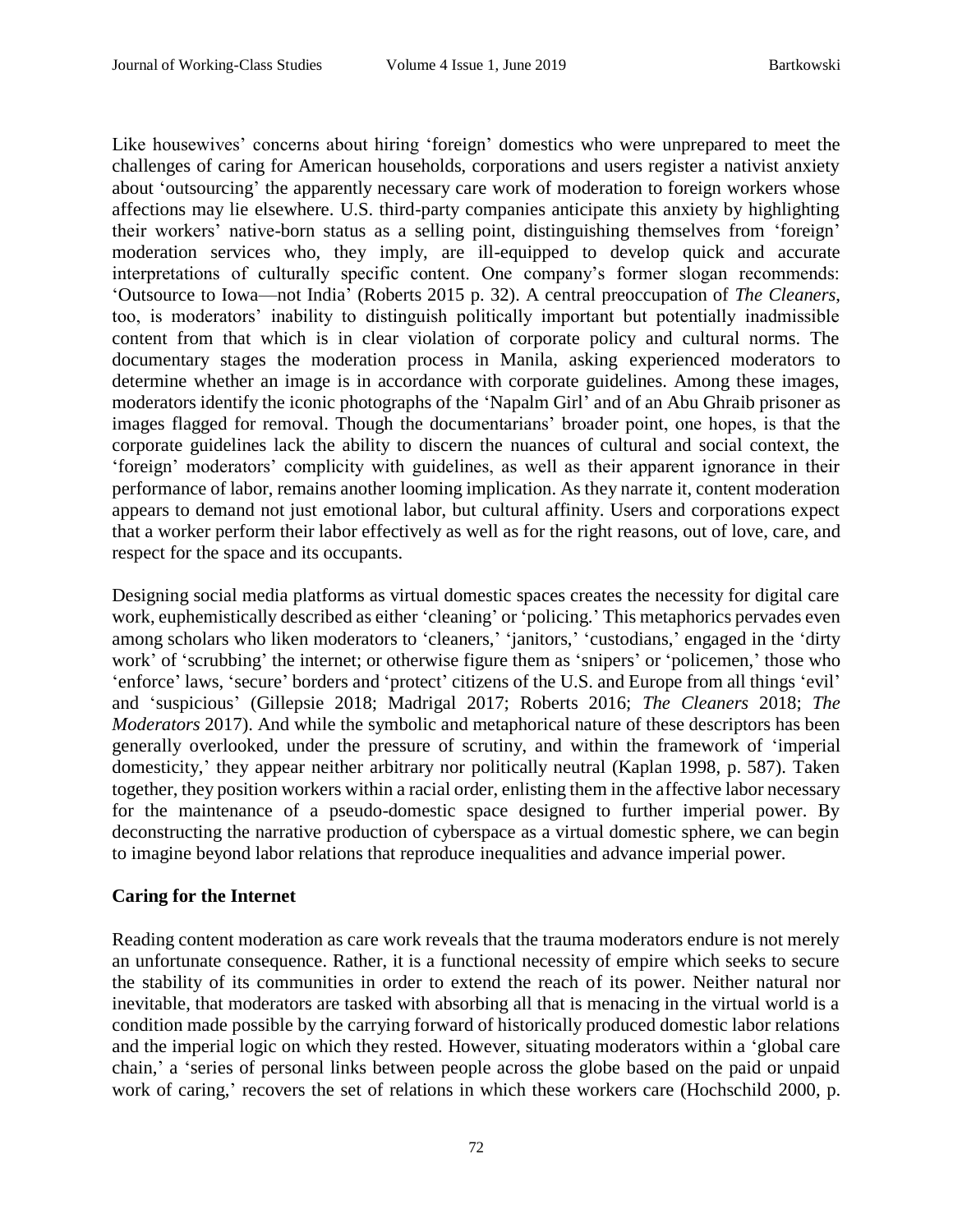Like housewives' concerns about hiring 'foreign' domestics who were unprepared to meet the challenges of caring for American households, corporations and users register a nativist anxiety about 'outsourcing' the apparently necessary care work of moderation to foreign workers whose affections may lie elsewhere. U.S. third-party companies anticipate this anxiety by highlighting their workers' native-born status as a selling point, distinguishing themselves from 'foreign' moderation services who, they imply, are ill-equipped to develop quick and accurate interpretations of culturally specific content. One company's former slogan recommends: 'Outsource to Iowa—not India' (Roberts 2015 p. 32). A central preoccupation of *The Cleaners*, too, is moderators' inability to distinguish politically important but potentially inadmissible content from that which is in clear violation of corporate policy and cultural norms. The documentary stages the moderation process in Manila, asking experienced moderators to determine whether an image is in accordance with corporate guidelines. Among these images, moderators identify the iconic photographs of the 'Napalm Girl' and of an Abu Ghraib prisoner as images flagged for removal. Though the documentarians' broader point, one hopes, is that the corporate guidelines lack the ability to discern the nuances of cultural and social context, the 'foreign' moderators' complicity with guidelines, as well as their apparent ignorance in their performance of labor, remains another looming implication. As they narrate it, content moderation appears to demand not just emotional labor, but cultural affinity. Users and corporations expect that a worker perform their labor effectively as well as for the right reasons, out of love, care, and respect for the space and its occupants.

Designing social media platforms as virtual domestic spaces creates the necessity for digital care work, euphemistically described as either 'cleaning' or 'policing.' This metaphorics pervades even among scholars who liken moderators to 'cleaners,' 'janitors,' 'custodians,' engaged in the 'dirty work' of 'scrubbing' the internet; or otherwise figure them as 'snipers' or 'policemen,' those who 'enforce' laws, 'secure' borders and 'protect' citizens of the U.S. and Europe from all things 'evil' and 'suspicious' (Gillepsie 2018; Madrigal 2017; Roberts 2016; *The Cleaners* 2018; *The Moderators* 2017). And while the symbolic and metaphorical nature of these descriptors has been generally overlooked, under the pressure of scrutiny, and within the framework of 'imperial domesticity,' they appear neither arbitrary nor politically neutral (Kaplan 1998, p. 587). Taken together, they position workers within a racial order, enlisting them in the affective labor necessary for the maintenance of a pseudo-domestic space designed to further imperial power. By deconstructing the narrative production of cyberspace as a virtual domestic sphere, we can begin to imagine beyond labor relations that reproduce inequalities and advance imperial power.

### **Caring for the Internet**

Reading content moderation as care work reveals that the trauma moderators endure is not merely an unfortunate consequence. Rather, it is a functional necessity of empire which seeks to secure the stability of its communities in order to extend the reach of its power. Neither natural nor inevitable, that moderators are tasked with absorbing all that is menacing in the virtual world is a condition made possible by the carrying forward of historically produced domestic labor relations and the imperial logic on which they rested. However, situating moderators within a 'global care chain,' a 'series of personal links between people across the globe based on the paid or unpaid work of caring,' recovers the set of relations in which these workers care (Hochschild 2000, p.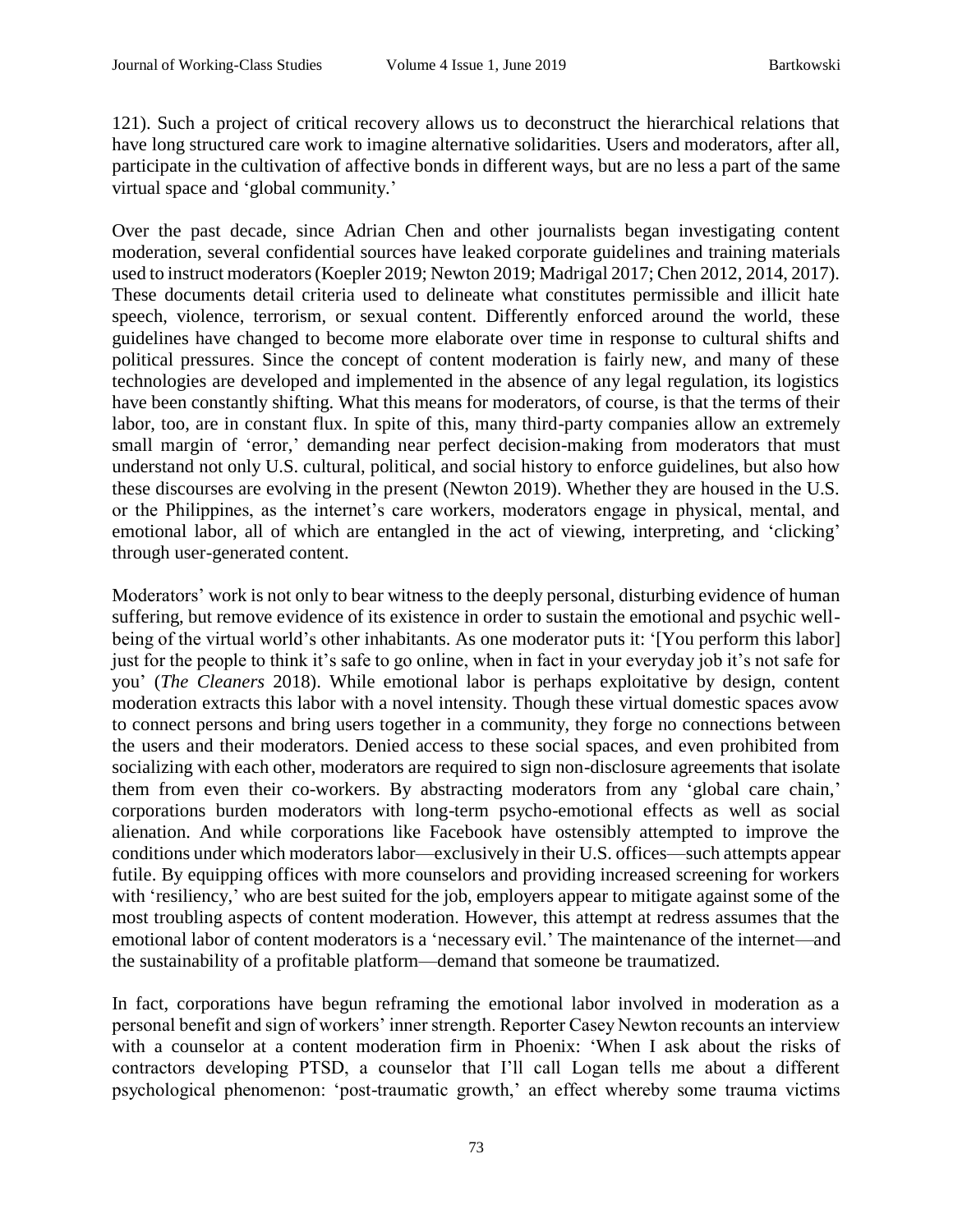121). Such a project of critical recovery allows us to deconstruct the hierarchical relations that have long structured care work to imagine alternative solidarities. Users and moderators, after all, participate in the cultivation of affective bonds in different ways, but are no less a part of the same virtual space and 'global community.'

Over the past decade, since Adrian Chen and other journalists began investigating content moderation, several confidential sources have leaked corporate guidelines and training materials used to instruct moderators (Koepler 2019; Newton 2019; Madrigal 2017; Chen 2012, 2014, 2017). These documents detail criteria used to delineate what constitutes permissible and illicit hate speech, violence, terrorism, or sexual content. Differently enforced around the world, these guidelines have changed to become more elaborate over time in response to cultural shifts and political pressures. Since the concept of content moderation is fairly new, and many of these technologies are developed and implemented in the absence of any legal regulation, its logistics have been constantly shifting. What this means for moderators, of course, is that the terms of their labor, too, are in constant flux. In spite of this, many third-party companies allow an extremely small margin of 'error,' demanding near perfect decision-making from moderators that must understand not only U.S. cultural, political, and social history to enforce guidelines, but also how these discourses are evolving in the present (Newton 2019). Whether they are housed in the U.S. or the Philippines, as the internet's care workers, moderators engage in physical, mental, and emotional labor, all of which are entangled in the act of viewing, interpreting, and 'clicking' through user-generated content.

Moderators' work is not only to bear witness to the deeply personal, disturbing evidence of human suffering, but remove evidence of its existence in order to sustain the emotional and psychic wellbeing of the virtual world's other inhabitants. As one moderator puts it: '[You perform this labor] just for the people to think it's safe to go online, when in fact in your everyday job it's not safe for you' (*The Cleaners* 2018). While emotional labor is perhaps exploitative by design, content moderation extracts this labor with a novel intensity. Though these virtual domestic spaces avow to connect persons and bring users together in a community, they forge no connections between the users and their moderators. Denied access to these social spaces, and even prohibited from socializing with each other, moderators are required to sign non-disclosure agreements that isolate them from even their co-workers. By abstracting moderators from any 'global care chain,' corporations burden moderators with long-term psycho-emotional effects as well as social alienation. And while corporations like Facebook have ostensibly attempted to improve the conditions under which moderators labor—exclusively in their U.S. offices—such attempts appear futile. By equipping offices with more counselors and providing increased screening for workers with 'resiliency,' who are best suited for the job, employers appear to mitigate against some of the most troubling aspects of content moderation. However, this attempt at redress assumes that the emotional labor of content moderators is a 'necessary evil.' The maintenance of the internet—and the sustainability of a profitable platform—demand that someone be traumatized.

In fact, corporations have begun reframing the emotional labor involved in moderation as a personal benefit and sign of workers' inner strength. Reporter Casey Newton recounts an interview with a counselor at a content moderation firm in Phoenix: 'When I ask about the risks of contractors developing PTSD, a counselor that I'll call Logan tells me about a different psychological phenomenon: 'post-traumatic growth,' an effect whereby some trauma victims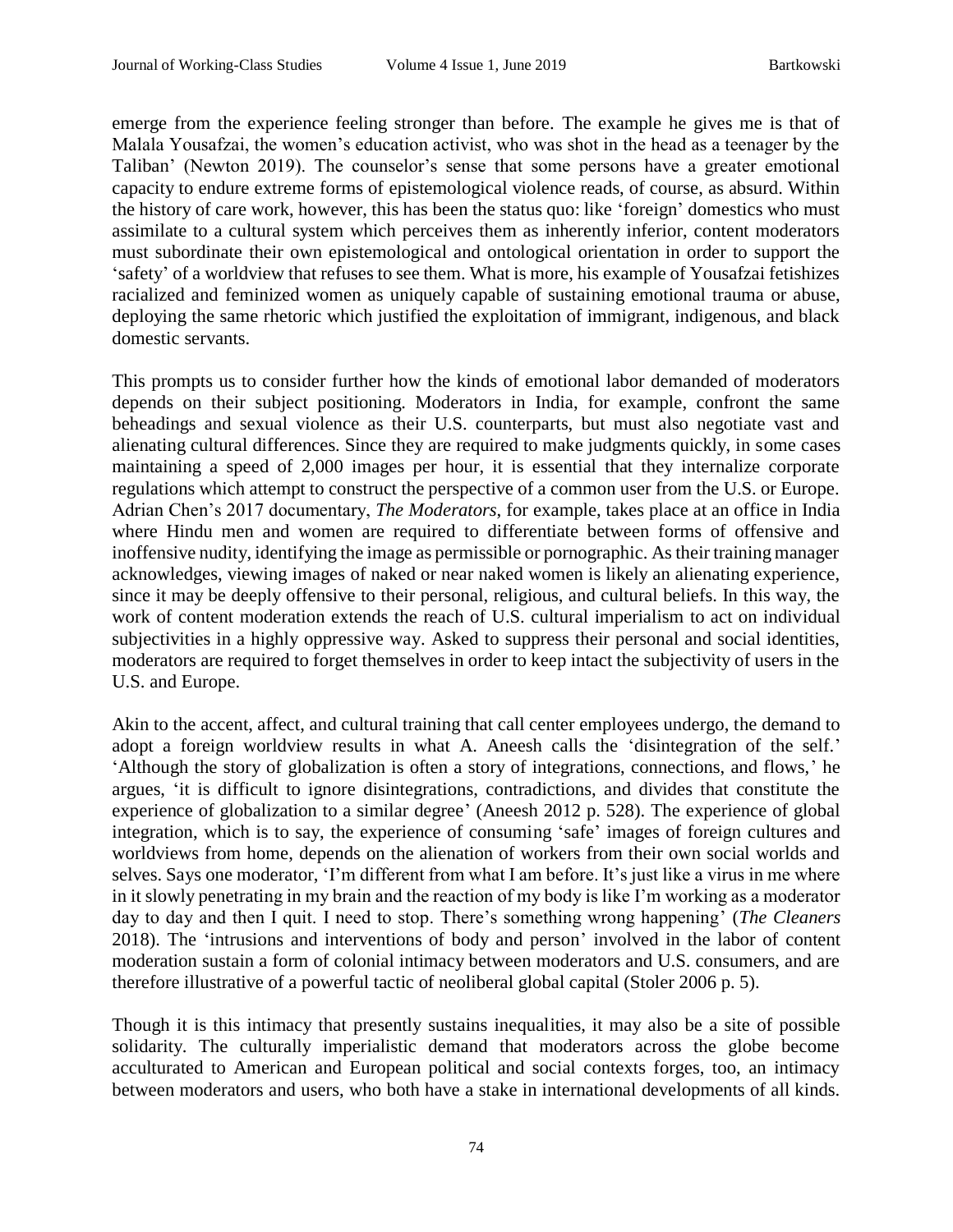emerge from the experience feeling stronger than before. The example he gives me is that of Malala Yousafzai, the women's education activist, who was shot in the head as a teenager by the Taliban' (Newton 2019). The counselor's sense that some persons have a greater emotional capacity to endure extreme forms of epistemological violence reads, of course, as absurd. Within the history of care work, however, this has been the status quo: like 'foreign' domestics who must assimilate to a cultural system which perceives them as inherently inferior, content moderators must subordinate their own epistemological and ontological orientation in order to support the 'safety' of a worldview that refuses to see them. What is more, his example of Yousafzai fetishizes racialized and feminized women as uniquely capable of sustaining emotional trauma or abuse, deploying the same rhetoric which justified the exploitation of immigrant, indigenous, and black domestic servants.

This prompts us to consider further how the kinds of emotional labor demanded of moderators depends on their subject positioning. Moderators in India, for example, confront the same beheadings and sexual violence as their U.S. counterparts, but must also negotiate vast and alienating cultural differences. Since they are required to make judgments quickly, in some cases maintaining a speed of 2,000 images per hour, it is essential that they internalize corporate regulations which attempt to construct the perspective of a common user from the U.S. or Europe. Adrian Chen's 2017 documentary, *The Moderators*, for example, takes place at an office in India where Hindu men and women are required to differentiate between forms of offensive and inoffensive nudity, identifying the image as permissible or pornographic. As their training manager acknowledges, viewing images of naked or near naked women is likely an alienating experience, since it may be deeply offensive to their personal, religious, and cultural beliefs. In this way, the work of content moderation extends the reach of U.S. cultural imperialism to act on individual subjectivities in a highly oppressive way. Asked to suppress their personal and social identities, moderators are required to forget themselves in order to keep intact the subjectivity of users in the U.S. and Europe.

Akin to the accent, affect, and cultural training that call center employees undergo, the demand to adopt a foreign worldview results in what A. Aneesh calls the 'disintegration of the self.' 'Although the story of globalization is often a story of integrations, connections, and flows,' he argues, 'it is difficult to ignore disintegrations, contradictions, and divides that constitute the experience of globalization to a similar degree' (Aneesh 2012 p. 528). The experience of global integration, which is to say, the experience of consuming 'safe' images of foreign cultures and worldviews from home, depends on the alienation of workers from their own social worlds and selves. Says one moderator, 'I'm different from what I am before. It's just like a virus in me where in it slowly penetrating in my brain and the reaction of my body is like I'm working as a moderator day to day and then I quit. I need to stop. There's something wrong happening' (*The Cleaners*  2018). The 'intrusions and interventions of body and person' involved in the labor of content moderation sustain a form of colonial intimacy between moderators and U.S. consumers, and are therefore illustrative of a powerful tactic of neoliberal global capital (Stoler 2006 p. 5).

Though it is this intimacy that presently sustains inequalities, it may also be a site of possible solidarity. The culturally imperialistic demand that moderators across the globe become acculturated to American and European political and social contexts forges, too, an intimacy between moderators and users, who both have a stake in international developments of all kinds.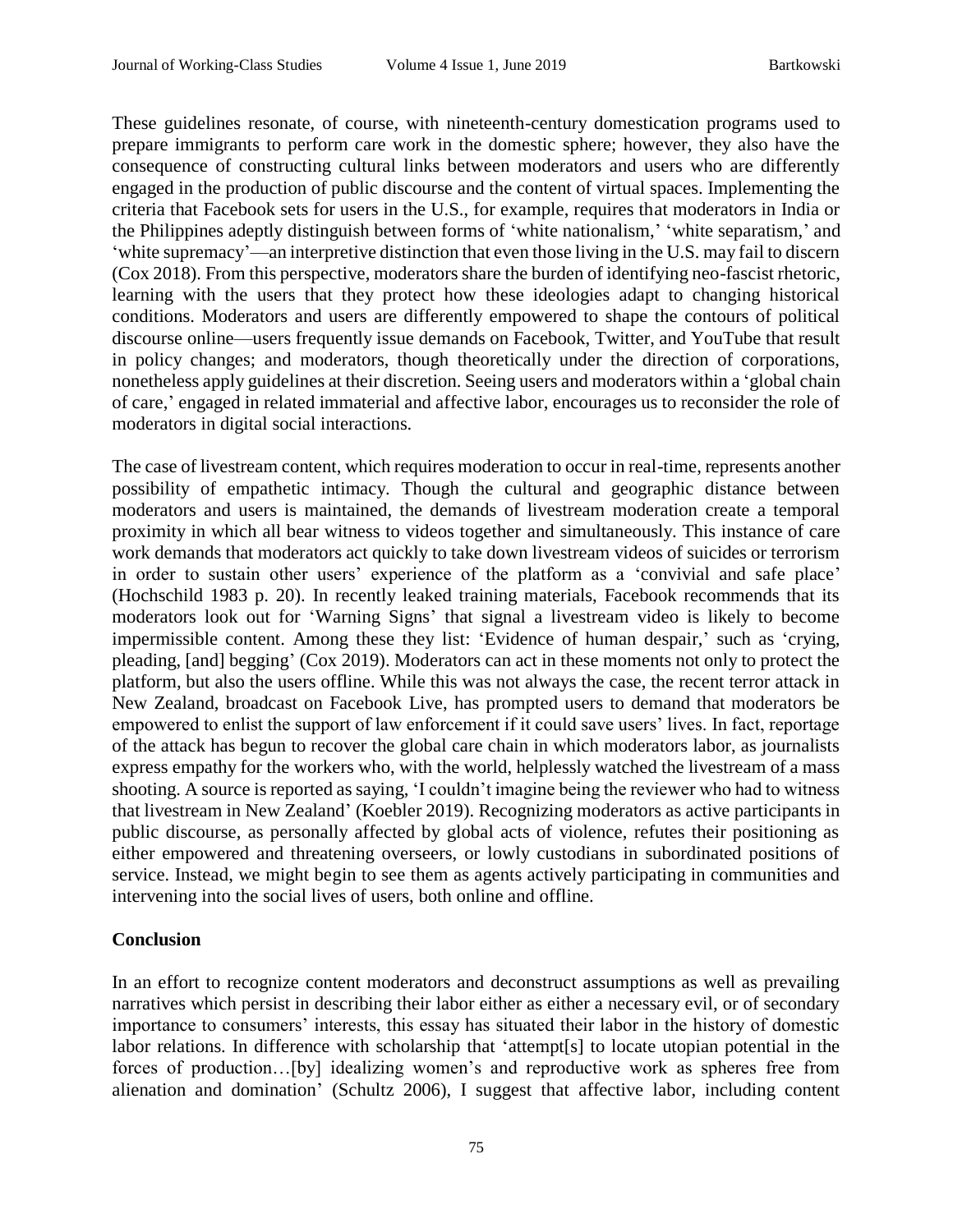These guidelines resonate, of course, with nineteenth-century domestication programs used to prepare immigrants to perform care work in the domestic sphere; however, they also have the consequence of constructing cultural links between moderators and users who are differently engaged in the production of public discourse and the content of virtual spaces. Implementing the criteria that Facebook sets for users in the U.S., for example, requires that moderators in India or the Philippines adeptly distinguish between forms of 'white nationalism,' 'white separatism,' and 'white supremacy'—an interpretive distinction that even those living in the U.S. may fail to discern (Cox 2018). From this perspective, moderators share the burden of identifying neo-fascist rhetoric, learning with the users that they protect how these ideologies adapt to changing historical conditions. Moderators and users are differently empowered to shape the contours of political discourse online—users frequently issue demands on Facebook, Twitter, and YouTube that result in policy changes; and moderators, though theoretically under the direction of corporations, nonetheless apply guidelines at their discretion. Seeing users and moderators within a 'global chain of care,' engaged in related immaterial and affective labor, encourages us to reconsider the role of moderators in digital social interactions.

The case of livestream content, which requires moderation to occur in real-time, represents another possibility of empathetic intimacy. Though the cultural and geographic distance between moderators and users is maintained, the demands of livestream moderation create a temporal proximity in which all bear witness to videos together and simultaneously. This instance of care work demands that moderators act quickly to take down livestream videos of suicides or terrorism in order to sustain other users' experience of the platform as a 'convivial and safe place' (Hochschild 1983 p. 20). In recently leaked training materials, Facebook recommends that its moderators look out for 'Warning Signs' that signal a livestream video is likely to become impermissible content. Among these they list: 'Evidence of human despair,' such as 'crying, pleading, [and] begging' (Cox 2019). Moderators can act in these moments not only to protect the platform, but also the users offline. While this was not always the case, the recent terror attack in New Zealand, broadcast on Facebook Live, has prompted users to demand that moderators be empowered to enlist the support of law enforcement if it could save users' lives. In fact, reportage of the attack has begun to recover the global care chain in which moderators labor, as journalists express empathy for the workers who, with the world, helplessly watched the livestream of a mass shooting. A source is reported as saying, 'I couldn't imagine being the reviewer who had to witness that livestream in New Zealand' (Koebler 2019). Recognizing moderators as active participants in public discourse, as personally affected by global acts of violence, refutes their positioning as either empowered and threatening overseers, or lowly custodians in subordinated positions of service. Instead, we might begin to see them as agents actively participating in communities and intervening into the social lives of users, both online and offline.

## **Conclusion**

In an effort to recognize content moderators and deconstruct assumptions as well as prevailing narratives which persist in describing their labor either as either a necessary evil, or of secondary importance to consumers' interests, this essay has situated their labor in the history of domestic labor relations. In difference with scholarship that 'attempt[s] to locate utopian potential in the forces of production…[by] idealizing women's and reproductive work as spheres free from alienation and domination' (Schultz 2006), I suggest that affective labor, including content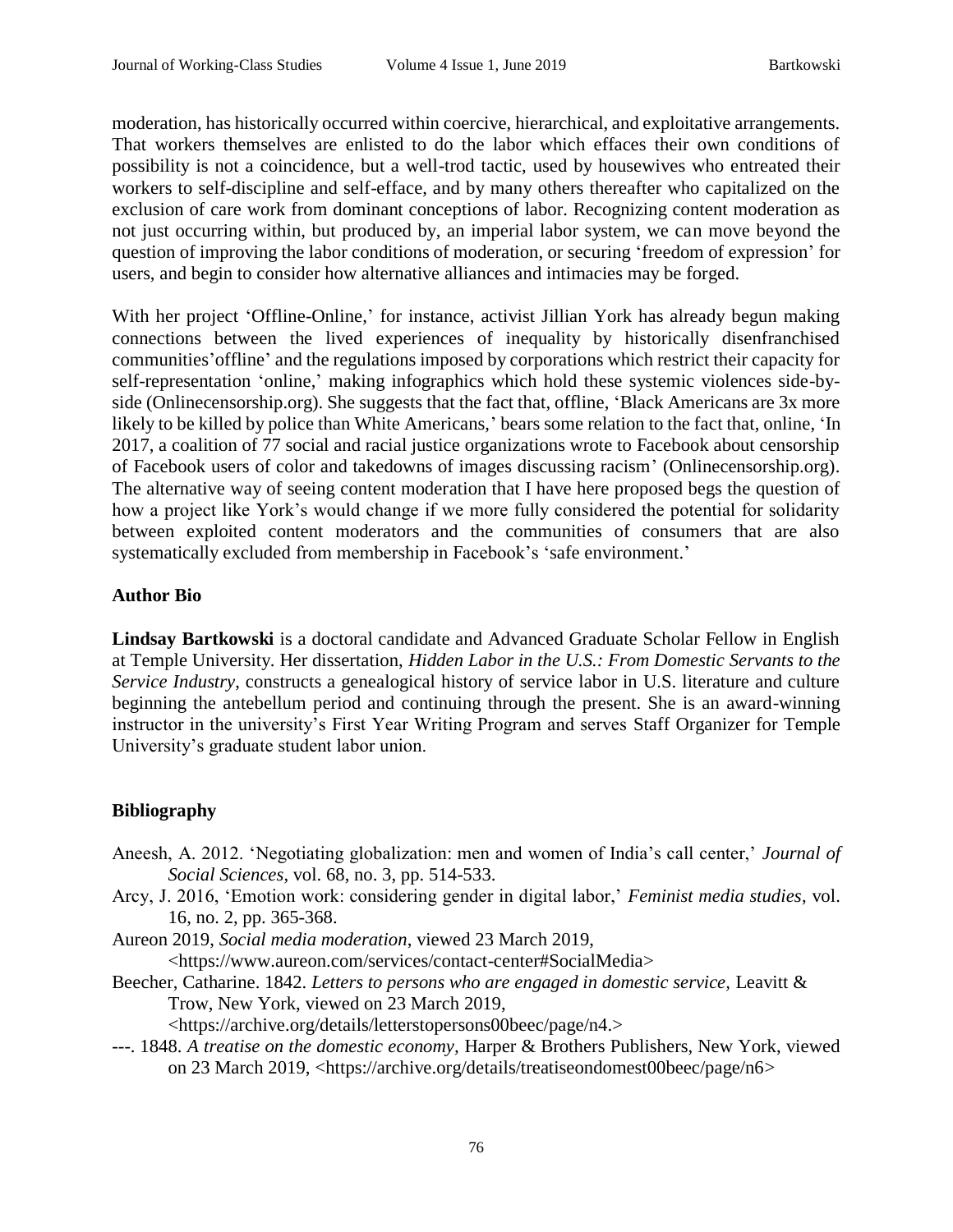moderation, has historically occurred within coercive, hierarchical, and exploitative arrangements. That workers themselves are enlisted to do the labor which effaces their own conditions of possibility is not a coincidence, but a well-trod tactic, used by housewives who entreated their workers to self-discipline and self-efface, and by many others thereafter who capitalized on the exclusion of care work from dominant conceptions of labor. Recognizing content moderation as not just occurring within, but produced by, an imperial labor system, we can move beyond the question of improving the labor conditions of moderation, or securing 'freedom of expression' for users, and begin to consider how alternative alliances and intimacies may be forged.

With her project 'Offline-Online,' for instance, activist Jillian York has already begun making connections between the lived experiences of inequality by historically disenfranchised communities'offline' and the regulations imposed by corporations which restrict their capacity for self-representation 'online,' making infographics which hold these systemic violences side-byside (Onlinecensorship.org). She suggests that the fact that, offline, 'Black Americans are 3x more likely to be killed by police than White Americans,' bears some relation to the fact that, online, 'In 2017, a coalition of 77 social and racial justice organizations wrote to Facebook about censorship of Facebook users of color and takedowns of images discussing racism' (Onlinecensorship.org). The alternative way of seeing content moderation that I have here proposed begs the question of how a project like York's would change if we more fully considered the potential for solidarity between exploited content moderators and the communities of consumers that are also systematically excluded from membership in Facebook's 'safe environment.'

## **Author Bio**

**Lindsay Bartkowski** is a doctoral candidate and Advanced Graduate Scholar Fellow in English at Temple University. Her dissertation, *Hidden Labor in the U.S.: From Domestic Servants to the Service Industry*, constructs a genealogical history of service labor in U.S. literature and culture beginning the antebellum period and continuing through the present. She is an award-winning instructor in the university's First Year Writing Program and serves Staff Organizer for Temple University's graduate student labor union.

## **Bibliography**

- Aneesh, A. 2012. 'Negotiating globalization: men and women of India's call center,' *Journal of Social Sciences*, vol. 68, no. 3, pp. 514-533.
- Arcy, J. 2016, 'Emotion work: considering gender in digital labor,' *Feminist media studies*, vol. 16, no. 2, pp. 365-368.

Aureon 2019, *Social media moderation*, viewed 23 March 2019,

<https://www.aureon.com/services/contact-center#SocialMedia>

Beecher, Catharine. 1842. *Letters to persons who are engaged in domestic service,* Leavitt & Trow, New York, viewed on 23 March 2019,

<https://archive.org/details/letterstopersons00beec/page/n4.>

---. 1848. *A treatise on the domestic economy,* Harper & Brothers Publishers, New York, viewed on 23 March 2019, <https://archive.org/details/treatiseondomest00beec/page/n6>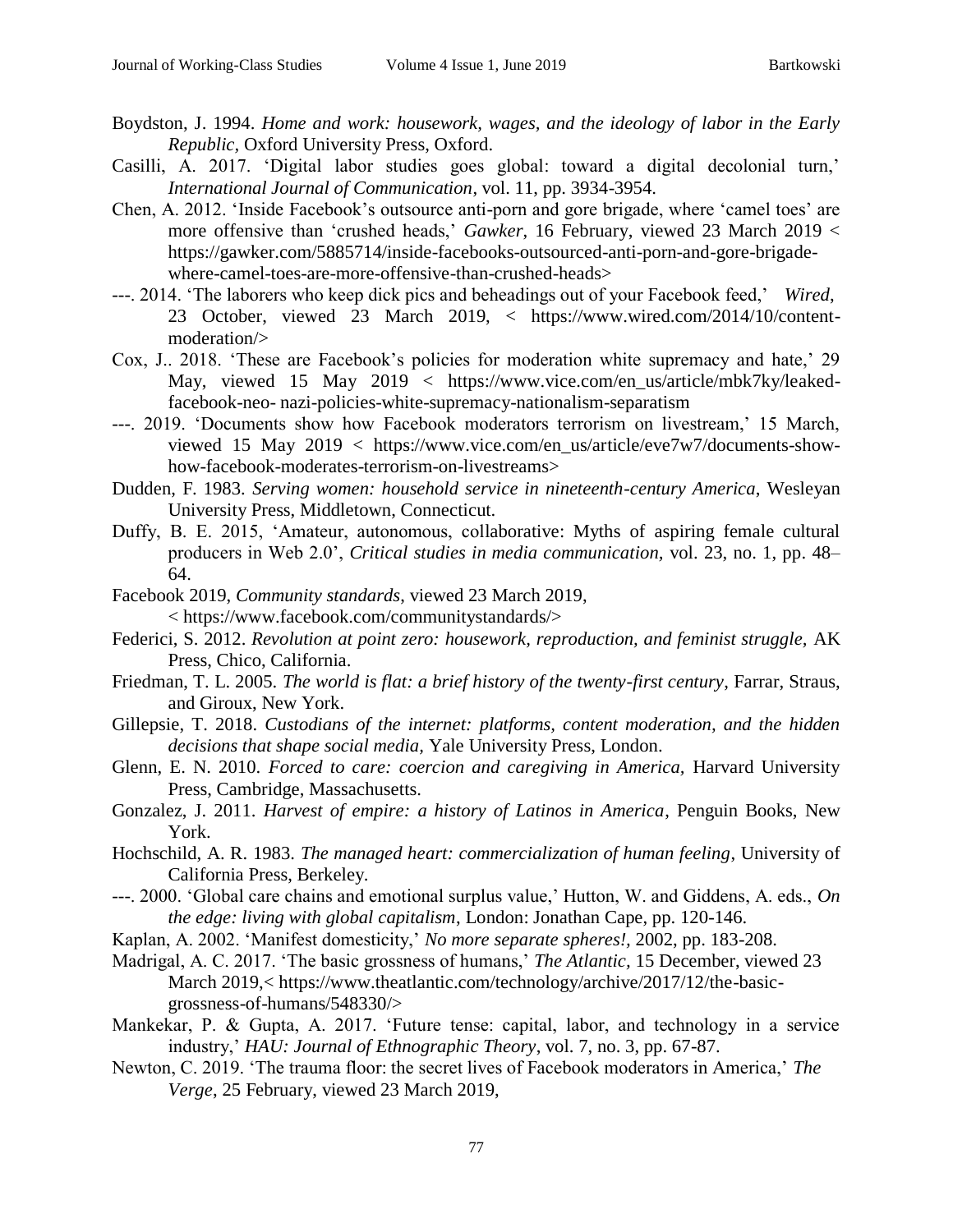- Boydston, J. 1994. *Home and work: housework, wages, and the ideology of labor in the Early Republic,* Oxford University Press, Oxford.
- Casilli, A. 2017. 'Digital labor studies goes global: toward a digital decolonial turn,' *International Journal of Communication*, vol. 11, pp. 3934-3954.
- Chen, A. 2012. 'Inside Facebook's outsource anti-porn and gore brigade, where 'camel toes' are more offensive than 'crushed heads,' *Gawker*, 16 February, viewed 23 March 2019 < https://gawker.com/5885714/inside-facebooks-outsourced-anti-porn-and-gore-brigadewhere-camel-toes-are-more-offensive-than-crushed-heads>
- ---. 2014. 'The laborers who keep dick pics and beheadings out of your Facebook feed,' *Wired*, 23 October, viewed 23 March 2019, < https://www.wired.com/2014/10/contentmoderation/>
- Cox, J.. 2018. 'These are Facebook's policies for moderation white supremacy and hate,' 29 May, viewed 15 May 2019 < https://www.vice.com/en\_us/article/mbk7ky/leakedfacebook-neo- nazi-policies-white-supremacy-nationalism-separatism
- ---. 2019. 'Documents show how Facebook moderators terrorism on livestream,' 15 March, viewed 15 May 2019 < https://www.vice.com/en\_us/article/eve7w7/documents-showhow-facebook-moderates-terrorism-on-livestreams>
- Dudden, F. 1983. *Serving women: household service in nineteenth-century America*, Wesleyan University Press, Middletown, Connecticut.
- Duffy, B. E. 2015, 'Amateur, autonomous, collaborative: Myths of aspiring female cultural producers in Web 2.0', *Critical studies in media communication,* vol. 23, no. 1, pp. 48– 64.
- Facebook 2019, *Community standards*, viewed 23 March 2019, < https://www.facebook.com/communitystandards/>
- Federici, S. 2012. *Revolution at point zero: housework, reproduction, and feminist struggle,* AK Press, Chico, California.
- Friedman, T. L. 2005. *The world is flat: a brief history of the twenty-first century*, Farrar, Straus, and Giroux, New York.
- Gillepsie, T. 2018. *Custodians of the internet: platforms, content moderation, and the hidden decisions that shape social media,* Yale University Press, London.
- Glenn, E. N. 2010. *Forced to care: coercion and caregiving in America*, Harvard University Press, Cambridge, Massachusetts.
- Gonzalez, J. 2011. *Harvest of empire: a history of Latinos in America*, Penguin Books, New York.
- Hochschild, A. R. 1983. *The managed heart: commercialization of human feeling*, University of California Press, Berkeley.
- ---. 2000. 'Global care chains and emotional surplus value,' Hutton, W. and Giddens, A. eds., *On the edge: living with global capitalism*, London: Jonathan Cape, pp. 120-146.
- Kaplan, A. 2002. 'Manifest domesticity,' *No more separate spheres!,* 2002, pp. 183-208.
- Madrigal, A. C. 2017. 'The basic grossness of humans,' *The Atlantic,* 15 December, viewed 23 March 2019,< https://www.theatlantic.com/technology/archive/2017/12/the-basicgrossness-of-humans/548330/>
- Mankekar, P. & Gupta, A. 2017. 'Future tense: capital, labor, and technology in a service industry,' *HAU: Journal of Ethnographic Theory*, vol. 7, no. 3, pp. 67-87.
- Newton, C. 2019. 'The trauma floor: the secret lives of Facebook moderators in America,' *The Verge*, 25 February, viewed 23 March 2019,